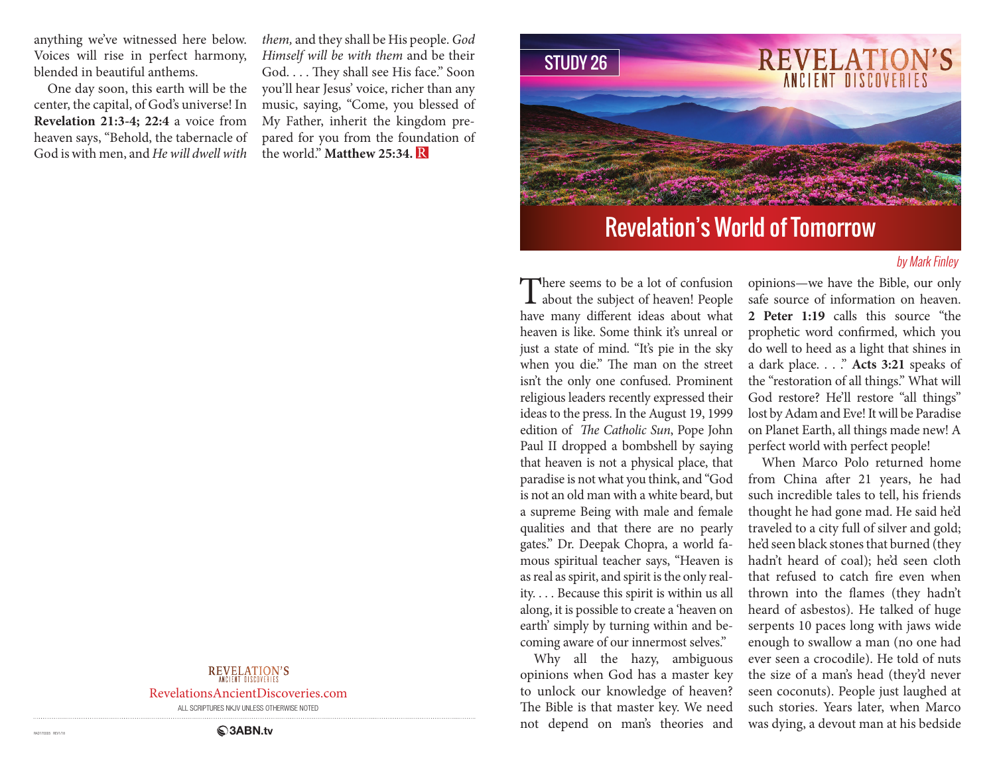anything we've witnessed here below. Voices will rise in perfect harmony, blended in beautiful anthems.

One day soon, this earth will be the center, the capital, of God's universe! In **Revelation 21:3-4; 22:4** a voice from heaven says, "Behold, the tabernacle of God is with men, and *He will dwell with* 

*them,* and they shall be His people. *God Himself will be with them* and be their God. . . . They shall see His face." Soon you'll hear Jesus' voice, richer than any music, saying, "Come, you blessed of My Father, inherit the kingdom prepared for you from the foundation of the world." **Matthew 25:34.** 



# Revelation's World of Tomorrow

### by Mark Finley

There seems to be a lot of confusion<br>about the subject of heaven! People have many different ideas about what heaven is like. Some think it's unreal or just a state of mind. "It's pie in the sky when you die." The man on the street isn't the only one confused. Prominent religious leaders recently expressed their ideas to the press. In the August 19, 1999 edition of *The Catholic Sun*, Pope John Paul II dropped a bombshell by saying that heaven is not a physical place, that paradise is not what you think, and "God is not an old man with a white beard, but a supreme Being with male and female qualities and that there are no pearly gates." Dr. Deepak Chopra, a world famous spiritual teacher says, "Heaven is as real as spirit, and spirit is the only reality. . . . Because this spirit is within us all along, it is possible to create a 'heaven on earth' simply by turning within and becoming aware of our innermost selves."

Why all the hazy, ambiguous opinions when God has a master key to unlock our knowledge of heaven? The Bible is that master key. We need not depend on man's theories and

opinions—we have the Bible, our only safe source of information on heaven. **2 Peter 1:19** calls this source "the prophetic word confirmed, which you do well to heed as a light that shines in a dark place. . . ." **Acts 3:21** speaks of the "restoration of all things." What will God restore? He'll restore "all things" lost by Adam and Eve! It will be Paradise on Planet Earth, all things made new! A perfect world with perfect people!

When Marco Polo returned home from China after 21 years, he had such incredible tales to tell, his friends thought he had gone mad. He said he'd traveled to a city full of silver and gold; he'd seen black stones that burned (they hadn't heard of coal); he'd seen cloth that refused to catch fire even when thrown into the flames (they hadn't heard of asbestos). He talked of huge serpents 10 paces long with jaws wide enough to swallow a man (no one had ever seen a crocodile). He told of nuts the size of a man's head (they'd never seen coconuts). People just laughed at such stories. Years later, when Marco was dying, a devout man at his bedside

## REVELATION'S

RevelationsAncientDiscoveries.com

ALL SCRIPTURES NKJV UNLESS OTHERWISE NOTED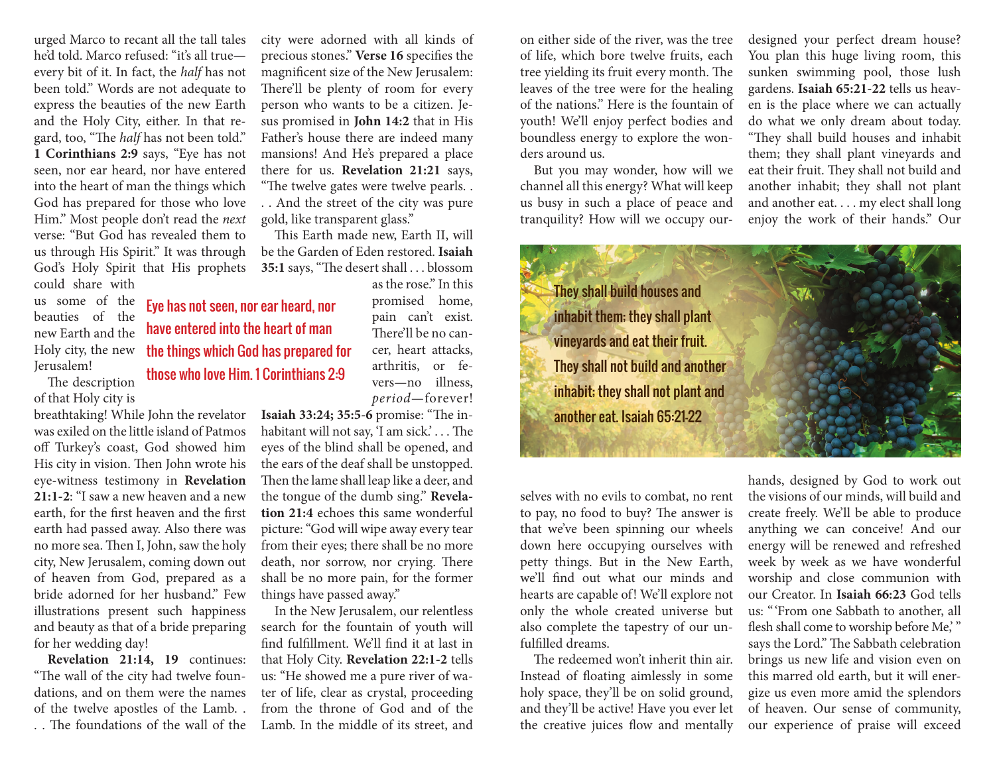urged Marco to recant all the tall tales he'd told. Marco refused: "it's all true every bit of it. In fact, the *half* has not been told." Words are not adequate to express the beauties of the new Earth and the Holy City, either. In that regard, too, "The *half* has not been told." **1 Corinthians 2:9** says, "Eye has not seen, nor ear heard, nor have entered into the heart of man the things which God has prepared for those who love Him." Most people don't read the *next*  verse: "But God has revealed them to us through His Spirit." It was through God's Holy Spirit that His prophets

could share with us some of the beauties of the new Earth and the Holy city, the new Jerusalem!

The description of that Holy city is

breathtaking! While John the revelator was exiled on the little island of Patmos off Turkey's coast, God showed him His city in vision. Then John wrote his eye-witness testimony in **Revelation 21:1-2**: "I saw a new heaven and a new earth, for the first heaven and the first earth had passed away. Also there was no more sea. Then I, John, saw the holy city, New Jerusalem, coming down out of heaven from God, prepared as a bride adorned for her husband." Few illustrations present such happiness and beauty as that of a bride preparing for her wedding day!

**Revelation 21:14, 19** continues: "The wall of the city had twelve foundations, and on them were the names of the twelve apostles of the Lamb. . . . The foundations of the wall of the

city were adorned with all kinds of precious stones." **Verse 16** specifies the magnificent size of the New Jerusalem: There'll be plenty of room for every person who wants to be a citizen. Jesus promised in **John 14:2** that in His Father's house there are indeed many mansions! And He's prepared a place there for us. **Revelation 21:21** says, "The twelve gates were twelve pearls. . . . And the street of the city was pure gold, like transparent glass."

This Earth made new, Earth II, will be the Garden of Eden restored. **Isaiah 35:1** says, "The desert shall . . . blossom as the rose." In this

> promised home, pain can't exist. There'll be no cancer, heart attacks, arthritis, or fevers—no illness,

Eye has not seen, nor ear heard, nor have entered into the heart of man the things which God has prepared for those who love Him. 1 Corinthians 2:9

> *period*—forever! **Isaiah 33:24; 35:5-6** promise: "The inhabitant will not say, 'I am sick.' . . . The eyes of the blind shall be opened, and the ears of the deaf shall be unstopped. Then the lame shall leap like a deer, and the tongue of the dumb sing." **Revelation 21:4** echoes this same wonderful picture: "God will wipe away every tear from their eyes; there shall be no more death, nor sorrow, nor crying. There shall be no more pain, for the former things have passed away."

> In the New Jerusalem, our relentless search for the fountain of youth will find fulfillment. We'll find it at last in that Holy City. **Revelation 22:1-2** tells us: "He showed me a pure river of water of life, clear as crystal, proceeding from the throne of God and of the Lamb. In the middle of its street, and

on either side of the river, was the tree of life, which bore twelve fruits, each tree yielding its fruit every month. The leaves of the tree were for the healing of the nations." Here is the fountain of youth! We'll enjoy perfect bodies and boundless energy to explore the wonders around us.

But you may wonder, how will we channel all this energy? What will keep us busy in such a place of peace and tranquility? How will we occupy ourdesigned your perfect dream house? You plan this huge living room, this sunken swimming pool, those lush gardens. **Isaiah 65:21-22** tells us heaven is the place where we can actually do what we only dream about today. "They shall build houses and inhabit them; they shall plant vineyards and eat their fruit. They shall not build and another inhabit; they shall not plant and another eat. . . . my elect shall long enjoy the work of their hands." Our



selves with no evils to combat, no rent to pay, no food to buy? The answer is that we've been spinning our wheels down here occupying ourselves with petty things. But in the New Earth, we'll find out what our minds and hearts are capable of! We'll explore not only the whole created universe but also complete the tapestry of our unfulfilled dreams.

The redeemed won't inherit thin air. Instead of floating aimlessly in some holy space, they'll be on solid ground, and they'll be active! Have you ever let the creative juices flow and mentally

hands, designed by God to work out the visions of our minds, will build and create freely. We'll be able to produce anything we can conceive! And our energy will be renewed and refreshed week by week as we have wonderful worship and close communion with our Creator. In **Isaiah 66:23** God tells us: " 'From one Sabbath to another, all flesh shall come to worship before Me," says the Lord." The Sabbath celebration brings us new life and vision even on this marred old earth, but it will energize us even more amid the splendors of heaven. Our sense of community, our experience of praise will exceed